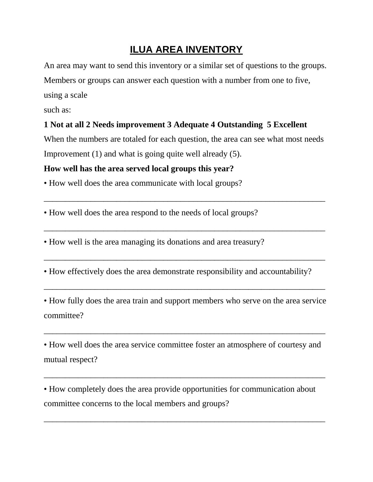## **ILUA AREA INVENTORY**

An area may want to send this inventory or a similar set of questions to the groups. Members or groups can answer each question with a number from one to five, using a scale

such as:

## **1 Not at all 2 Needs improvement 3 Adequate 4 Outstanding 5 Excellent**

When the numbers are totaled for each question, the area can see what most needs Improvement (1) and what is going quite well already (5).

\_\_\_\_\_\_\_\_\_\_\_\_\_\_\_\_\_\_\_\_\_\_\_\_\_\_\_\_\_\_\_\_\_\_\_\_\_\_\_\_\_\_\_\_\_\_\_\_\_\_\_\_\_\_\_\_\_\_\_\_\_\_\_\_\_\_

 $\overline{\phantom{a}}$  , and the contract of the contract of the contract of the contract of the contract of the contract of the contract of the contract of the contract of the contract of the contract of the contract of the contrac

 $\overline{\phantom{a}}$  , and the contract of the contract of the contract of the contract of the contract of the contract of the contract of the contract of the contract of the contract of the contract of the contract of the contrac

## **How well has the area served local groups this year?**

• How well does the area communicate with local groups?

• How well does the area respond to the needs of local groups?

• How well is the area managing its donations and area treasury?

• How effectively does the area demonstrate responsibility and accountability?

• How fully does the area train and support members who serve on the area service committee?

 $\overline{\phantom{a}}$  , and the contract of the contract of the contract of the contract of the contract of the contract of the contract of the contract of the contract of the contract of the contract of the contract of the contrac

 $\overline{a_1}$  ,  $\overline{a_2}$  ,  $\overline{a_3}$  ,  $\overline{a_4}$  ,  $\overline{a_5}$  ,  $\overline{a_6}$  ,  $\overline{a_7}$  ,  $\overline{a_8}$  ,  $\overline{a_9}$  ,  $\overline{a_9}$  ,  $\overline{a_9}$  ,  $\overline{a_9}$  ,  $\overline{a_9}$  ,  $\overline{a_9}$  ,  $\overline{a_9}$  ,  $\overline{a_9}$  ,  $\overline{a_9}$  ,

• How well does the area service committee foster an atmosphere of courtesy and mutual respect?

 $\overline{a_1}$  ,  $\overline{a_2}$  ,  $\overline{a_3}$  ,  $\overline{a_4}$  ,  $\overline{a_5}$  ,  $\overline{a_6}$  ,  $\overline{a_7}$  ,  $\overline{a_8}$  ,  $\overline{a_9}$  ,  $\overline{a_9}$  ,  $\overline{a_9}$  ,  $\overline{a_9}$  ,  $\overline{a_9}$  ,  $\overline{a_9}$  ,  $\overline{a_9}$  ,  $\overline{a_9}$  ,  $\overline{a_9}$  ,

• How completely does the area provide opportunities for communication about committee concerns to the local members and groups?

 $\overline{a_1}$  ,  $\overline{a_2}$  ,  $\overline{a_3}$  ,  $\overline{a_4}$  ,  $\overline{a_5}$  ,  $\overline{a_6}$  ,  $\overline{a_7}$  ,  $\overline{a_8}$  ,  $\overline{a_9}$  ,  $\overline{a_9}$  ,  $\overline{a_9}$  ,  $\overline{a_9}$  ,  $\overline{a_9}$  ,  $\overline{a_9}$  ,  $\overline{a_9}$  ,  $\overline{a_9}$  ,  $\overline{a_9}$  ,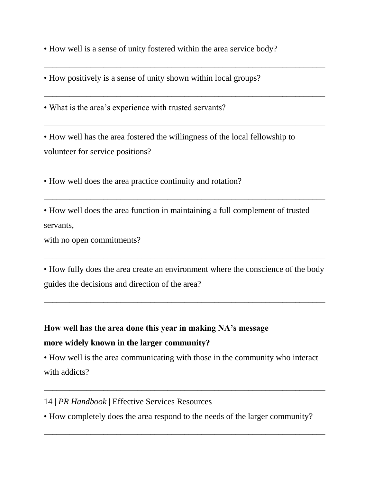• How well is a sense of unity fostered within the area service body?

 $\overline{\phantom{a}}$  , and the contribution of the contribution of the contribution of the contribution of the contribution of the contribution of the contribution of the contribution of the contribution of the contribution of the

 $\overline{a_1}$  ,  $\overline{a_2}$  ,  $\overline{a_3}$  ,  $\overline{a_4}$  ,  $\overline{a_5}$  ,  $\overline{a_6}$  ,  $\overline{a_7}$  ,  $\overline{a_8}$  ,  $\overline{a_9}$  ,  $\overline{a_9}$  ,  $\overline{a_9}$  ,  $\overline{a_9}$  ,  $\overline{a_9}$  ,  $\overline{a_9}$  ,  $\overline{a_9}$  ,  $\overline{a_9}$  ,  $\overline{a_9}$  ,

 $\overline{a_1}$  ,  $\overline{a_2}$  ,  $\overline{a_3}$  ,  $\overline{a_4}$  ,  $\overline{a_5}$  ,  $\overline{a_6}$  ,  $\overline{a_7}$  ,  $\overline{a_8}$  ,  $\overline{a_9}$  ,  $\overline{a_9}$  ,  $\overline{a_9}$  ,  $\overline{a_9}$  ,  $\overline{a_9}$  ,  $\overline{a_9}$  ,  $\overline{a_9}$  ,  $\overline{a_9}$  ,  $\overline{a_9}$  ,

 $\overline{a_1}$  ,  $\overline{a_2}$  ,  $\overline{a_3}$  ,  $\overline{a_4}$  ,  $\overline{a_5}$  ,  $\overline{a_6}$  ,  $\overline{a_7}$  ,  $\overline{a_8}$  ,  $\overline{a_9}$  ,  $\overline{a_9}$  ,  $\overline{a_9}$  ,  $\overline{a_9}$  ,  $\overline{a_9}$  ,  $\overline{a_9}$  ,  $\overline{a_9}$  ,  $\overline{a_9}$  ,  $\overline{a_9}$  ,

 $\overline{\phantom{a}}$  , and the contract of the contract of the contract of the contract of the contract of the contract of the contract of the contract of the contract of the contract of the contract of the contract of the contrac

• How positively is a sense of unity shown within local groups?

• What is the area's experience with trusted servants?

• How well has the area fostered the willingness of the local fellowship to volunteer for service positions?

• How well does the area practice continuity and rotation?

• How well does the area function in maintaining a full complement of trusted servants,

with no open commitments?

• How fully does the area create an environment where the conscience of the body guides the decisions and direction of the area?

 $\overline{a_1}$  ,  $\overline{a_2}$  ,  $\overline{a_3}$  ,  $\overline{a_4}$  ,  $\overline{a_5}$  ,  $\overline{a_6}$  ,  $\overline{a_7}$  ,  $\overline{a_8}$  ,  $\overline{a_9}$  ,  $\overline{a_9}$  ,  $\overline{a_9}$  ,  $\overline{a_9}$  ,  $\overline{a_9}$  ,  $\overline{a_9}$  ,  $\overline{a_9}$  ,  $\overline{a_9}$  ,  $\overline{a_9}$  ,

\_\_\_\_\_\_\_\_\_\_\_\_\_\_\_\_\_\_\_\_\_\_\_\_\_\_\_\_\_\_\_\_\_\_\_\_\_\_\_\_\_\_\_\_\_\_\_\_\_\_\_\_\_\_\_\_\_\_\_\_\_\_\_\_\_\_

## **How well has the area done this year in making NA's message more widely known in the larger community?**

• How well is the area communicating with those in the community who interact with addicts?

 $\overline{a_1}$  ,  $\overline{a_2}$  ,  $\overline{a_3}$  ,  $\overline{a_4}$  ,  $\overline{a_5}$  ,  $\overline{a_6}$  ,  $\overline{a_7}$  ,  $\overline{a_8}$  ,  $\overline{a_9}$  ,  $\overline{a_9}$  ,  $\overline{a_9}$  ,  $\overline{a_9}$  ,  $\overline{a_9}$  ,  $\overline{a_9}$  ,  $\overline{a_9}$  ,  $\overline{a_9}$  ,  $\overline{a_9}$  ,

14 | *PR Handbook* | Effective Services Resources

• How completely does the area respond to the needs of the larger community?

 $\overline{\phantom{a}}$  , and the contract of the contract of the contract of the contract of the contract of the contract of the contract of the contract of the contract of the contract of the contract of the contract of the contrac